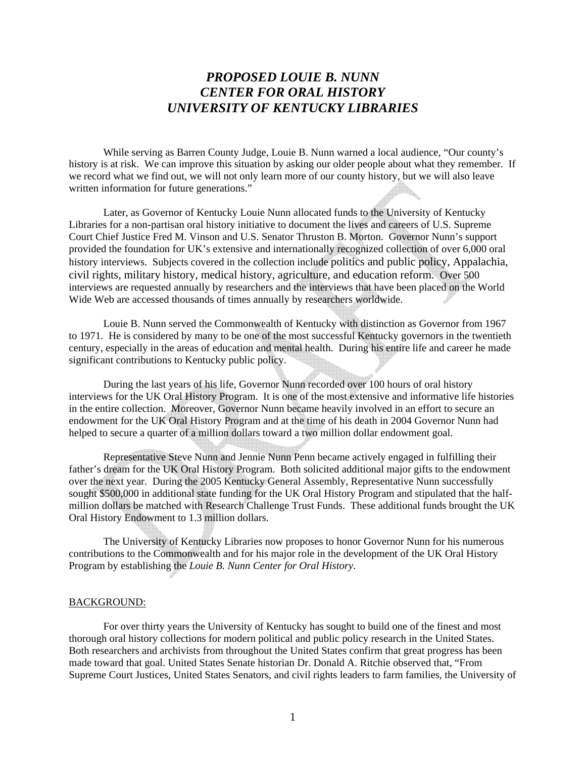# *PROPOSED LOUIE B. NUNN CENTER FOR ORAL HISTORY UNIVERSITY OF KENTUCKY LIBRARIES*

While serving as Barren County Judge, Louie B. Nunn warned a local audience, "Our county's history is at risk. We can improve this situation by asking our older people about what they remember. If we record what we find out, we will not only learn more of our county history, but we will also leave written information for future generations."

Later, as Governor of Kentucky Louie Nunn allocated funds to the University of Kentucky Libraries for a non-partisan oral history initiative to document the lives and careers of U.S. Supreme Court Chief Justice Fred M. Vinson and U.S. Senator Thruston B. Morton. Governor Nunn's support provided the foundation for UK's extensive and internationally recognized collection of over 6,000 oral history interviews. Subjects covered in the collection include politics and public policy, Appalachia, civil rights, military history, medical history, agriculture, and education reform. Over 500 interviews are requested annually by researchers and the interviews that have been placed on the World Wide Web are accessed thousands of times annually by researchers worldwide.

Louie B. Nunn served the Commonwealth of Kentucky with distinction as Governor from 1967 to 1971. He is considered by many to be one of the most successful Kentucky governors in the twentieth century, especially in the areas of education and mental health. During his entire life and career he made significant contributions to Kentucky public policy.

 During the last years of his life, Governor Nunn recorded over 100 hours of oral history interviews for the UK Oral History Program. It is one of the most extensive and informative life histories in the entire collection. Moreover, Governor Nunn became heavily involved in an effort to secure an endowment for the UK Oral History Program and at the time of his death in 2004 Governor Nunn had helped to secure a quarter of a million dollars toward a two million dollar endowment goal.

Representative Steve Nunn and Jennie Nunn Penn became actively engaged in fulfilling their father's dream for the UK Oral History Program. Both solicited additional major gifts to the endowment over the next year. During the 2005 Kentucky General Assembly, Representative Nunn successfully sought \$500,000 in additional state funding for the UK Oral History Program and stipulated that the halfmillion dollars be matched with Research Challenge Trust Funds. These additional funds brought the UK Oral History Endowment to 1.3 million dollars.

The University of Kentucky Libraries now proposes to honor Governor Nunn for his numerous contributions to the Commonwealth and for his major role in the development of the UK Oral History Program by establishing the *Louie B. Nunn Center for Oral History*.

#### BACKGROUND:

 For over thirty years the University of Kentucky has sought to build one of the finest and most thorough oral history collections for modern political and public policy research in the United States. Both researchers and archivists from throughout the United States confirm that great progress has been made toward that goal. United States Senate historian Dr. Donald A. Ritchie observed that, "From Supreme Court Justices, United States Senators, and civil rights leaders to farm families, the University of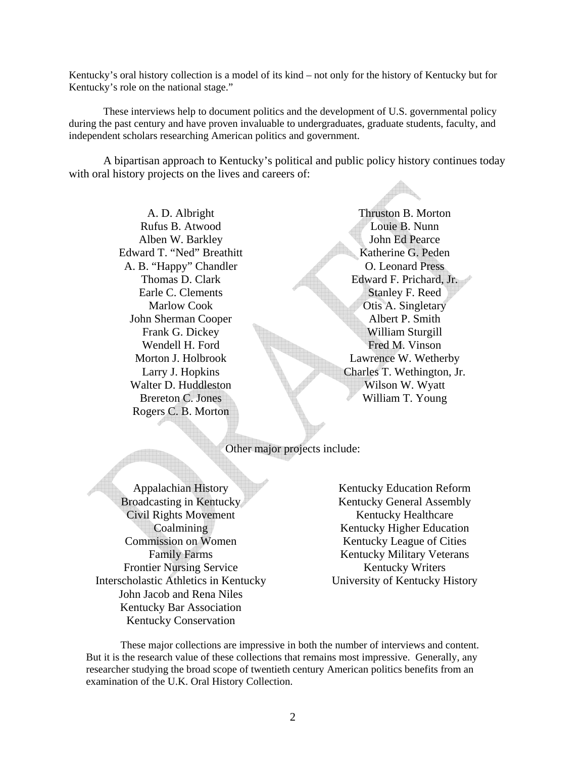Kentucky's oral history collection is a model of its kind – not only for the history of Kentucky but for Kentucky's role on the national stage."

These interviews help to document politics and the development of U.S. governmental policy during the past century and have proven invaluable to undergraduates, graduate students, faculty, and independent scholars researching American politics and government.

A bipartisan approach to Kentucky's political and public policy history continues today with oral history projects on the lives and careers of:

> A. D. Albright Rufus B. Atwood Alben W. Barkley Edward T. "Ned" Breathitt A. B. "Happy" Chandler Thomas D. Clark Earle C. Clements Marlow Cook John Sherman Cooper Frank G. Dickey Wendell H. Ford Morton J. Holbrook Larry J. Hopkins Walter D. Huddleston Brereton C. Jones Rogers C. B. Morton

Thruston B. Morton Louie B. Nunn John Ed Pearce Katherine G. Peden O. Leonard Press Edward F. Prichard, Jr. Stanley F. Reed Otis A. Singletary Albert P. Smith William Sturgill Fred M. Vinson Lawrence W. Wetherby Charles T. Wethington, Jr. Wilson W. Wyatt William T. Young

Other major projects include:

Appalachian History Broadcasting in Kentucky Civil Rights Movement **Coalmining** Commission on Women Family Farms Frontier Nursing Service Interscholastic Athletics in Kentucky John Jacob and Rena Niles Kentucky Bar Association Kentucky Conservation

Kentucky Education Reform Kentucky General Assembly Kentucky Healthcare Kentucky Higher Education Kentucky League of Cities Kentucky Military Veterans Kentucky Writers University of Kentucky History

These major collections are impressive in both the number of interviews and content. But it is the research value of these collections that remains most impressive. Generally, any researcher studying the broad scope of twentieth century American politics benefits from an examination of the U.K. Oral History Collection.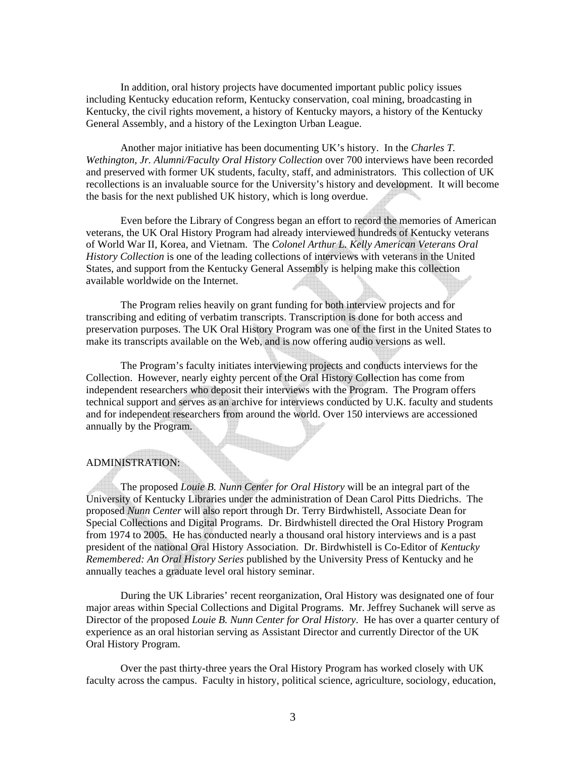In addition, oral history projects have documented important public policy issues including Kentucky education reform, Kentucky conservation, coal mining, broadcasting in Kentucky, the civil rights movement, a history of Kentucky mayors, a history of the Kentucky General Assembly, and a history of the Lexington Urban League.

Another major initiative has been documenting UK's history. In the *Charles T. Wethington, Jr. Alumni/Faculty Oral History Collection* over 700 interviews have been recorded and preserved with former UK students, faculty, staff, and administrators. This collection of UK recollections is an invaluable source for the University's history and development. It will become the basis for the next published UK history, which is long overdue.

Even before the Library of Congress began an effort to record the memories of American veterans, the UK Oral History Program had already interviewed hundreds of Kentucky veterans of World War II, Korea, and Vietnam. The *Colonel Arthur L. Kelly American Veterans Oral History Collection* is one of the leading collections of interviews with veterans in the United States, and support from the Kentucky General Assembly is helping make this collection available worldwide on the Internet.

The Program relies heavily on grant funding for both interview projects and for transcribing and editing of verbatim transcripts. Transcription is done for both access and preservation purposes. The UK Oral History Program was one of the first in the United States to make its transcripts available on the Web, and is now offering audio versions as well.

The Program's faculty initiates interviewing projects and conducts interviews for the Collection. However, nearly eighty percent of the Oral History Collection has come from independent researchers who deposit their interviews with the Program. The Program offers technical support and serves as an archive for interviews conducted by U.K. faculty and students and for independent researchers from around the world. Over 150 interviews are accessioned annually by the Program.

## ADMINISTRATION:

 The proposed *Louie B. Nunn Center for Oral History* will be an integral part of the University of Kentucky Libraries under the administration of Dean Carol Pitts Diedrichs. The proposed *Nunn Center* will also report through Dr. Terry Birdwhistell, Associate Dean for Special Collections and Digital Programs. Dr. Birdwhistell directed the Oral History Program from 1974 to 2005. He has conducted nearly a thousand oral history interviews and is a past president of the national Oral History Association. Dr. Birdwhistell is Co-Editor of *Kentucky Remembered: An Oral History Series* published by the University Press of Kentucky and he annually teaches a graduate level oral history seminar.

During the UK Libraries' recent reorganization, Oral History was designated one of four major areas within Special Collections and Digital Programs. Mr. Jeffrey Suchanek will serve as Director of the proposed *Louie B. Nunn Center for Oral History*. He has over a quarter century of experience as an oral historian serving as Assistant Director and currently Director of the UK Oral History Program.

 Over the past thirty-three years the Oral History Program has worked closely with UK faculty across the campus. Faculty in history, political science, agriculture, sociology, education,